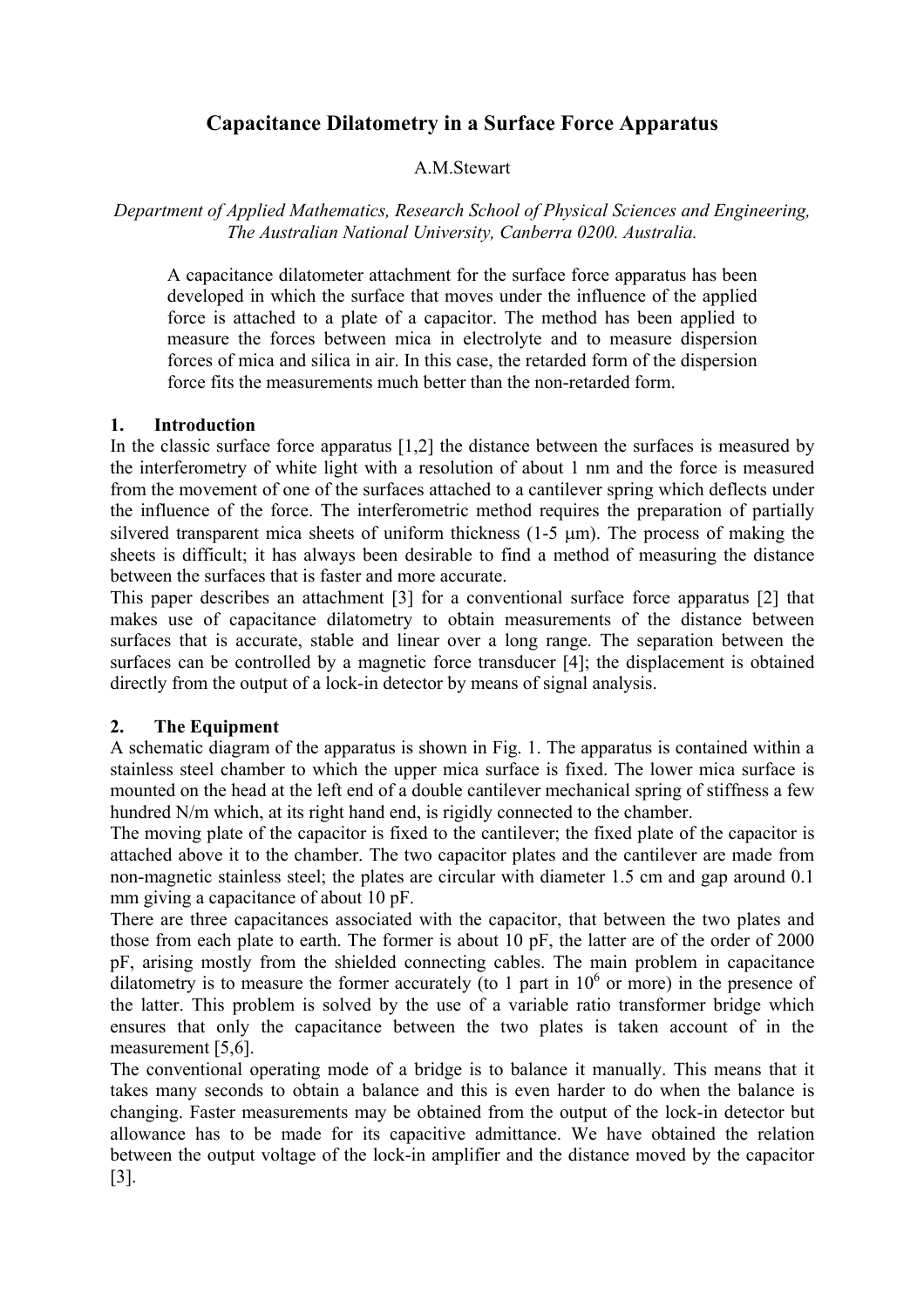# **Capacitance Dilatometry in a Surface Force Apparatus**

## A.M.Stewart

*Department of Applied Mathematics, Research School of Physical Sciences and Engineering, The Australian National University, Canberra 0200. Australia.* 

A capacitance dilatometer attachment for the surface force apparatus has been developed in which the surface that moves under the influence of the applied force is attached to a plate of a capacitor. The method has been applied to measure the forces between mica in electrolyte and to measure dispersion forces of mica and silica in air. In this case, the retarded form of the dispersion force fits the measurements much better than the non-retarded form.

### **1. Introduction**

In the classic surface force apparatus [1,2] the distance between the surfaces is measured by the interferometry of white light with a resolution of about 1 nm and the force is measured from the movement of one of the surfaces attached to a cantilever spring which deflects under the influence of the force. The interferometric method requires the preparation of partially silvered transparent mica sheets of uniform thickness  $(1-5 \mu m)$ . The process of making the sheets is difficult; it has always been desirable to find a method of measuring the distance between the surfaces that is faster and more accurate.

This paper describes an attachment [3] for a conventional surface force apparatus [2] that makes use of capacitance dilatometry to obtain measurements of the distance between surfaces that is accurate, stable and linear over a long range. The separation between the surfaces can be controlled by a magnetic force transducer [4]; the displacement is obtained directly from the output of a lock-in detector by means of signal analysis.

### **2. The Equipment**

A schematic diagram of the apparatus is shown in Fig. 1. The apparatus is contained within a stainless steel chamber to which the upper mica surface is fixed. The lower mica surface is mounted on the head at the left end of a double cantilever mechanical spring of stiffness a few hundred N/m which, at its right hand end, is rigidly connected to the chamber.

The moving plate of the capacitor is fixed to the cantilever; the fixed plate of the capacitor is attached above it to the chamber. The two capacitor plates and the cantilever are made from non-magnetic stainless steel; the plates are circular with diameter 1.5 cm and gap around 0.1 mm giving a capacitance of about 10 pF.

There are three capacitances associated with the capacitor, that between the two plates and those from each plate to earth. The former is about 10 pF, the latter are of the order of 2000 pF, arising mostly from the shielded connecting cables. The main problem in capacitance dilatometry is to measure the former accurately (to 1 part in  $10<sup>6</sup>$  or more) in the presence of the latter. This problem is solved by the use of a variable ratio transformer bridge which ensures that only the capacitance between the two plates is taken account of in the measurement [5,6].

The conventional operating mode of a bridge is to balance it manually. This means that it takes many seconds to obtain a balance and this is even harder to do when the balance is changing. Faster measurements may be obtained from the output of the lock-in detector but allowance has to be made for its capacitive admittance. We have obtained the relation between the output voltage of the lock-in amplifier and the distance moved by the capacitor [3].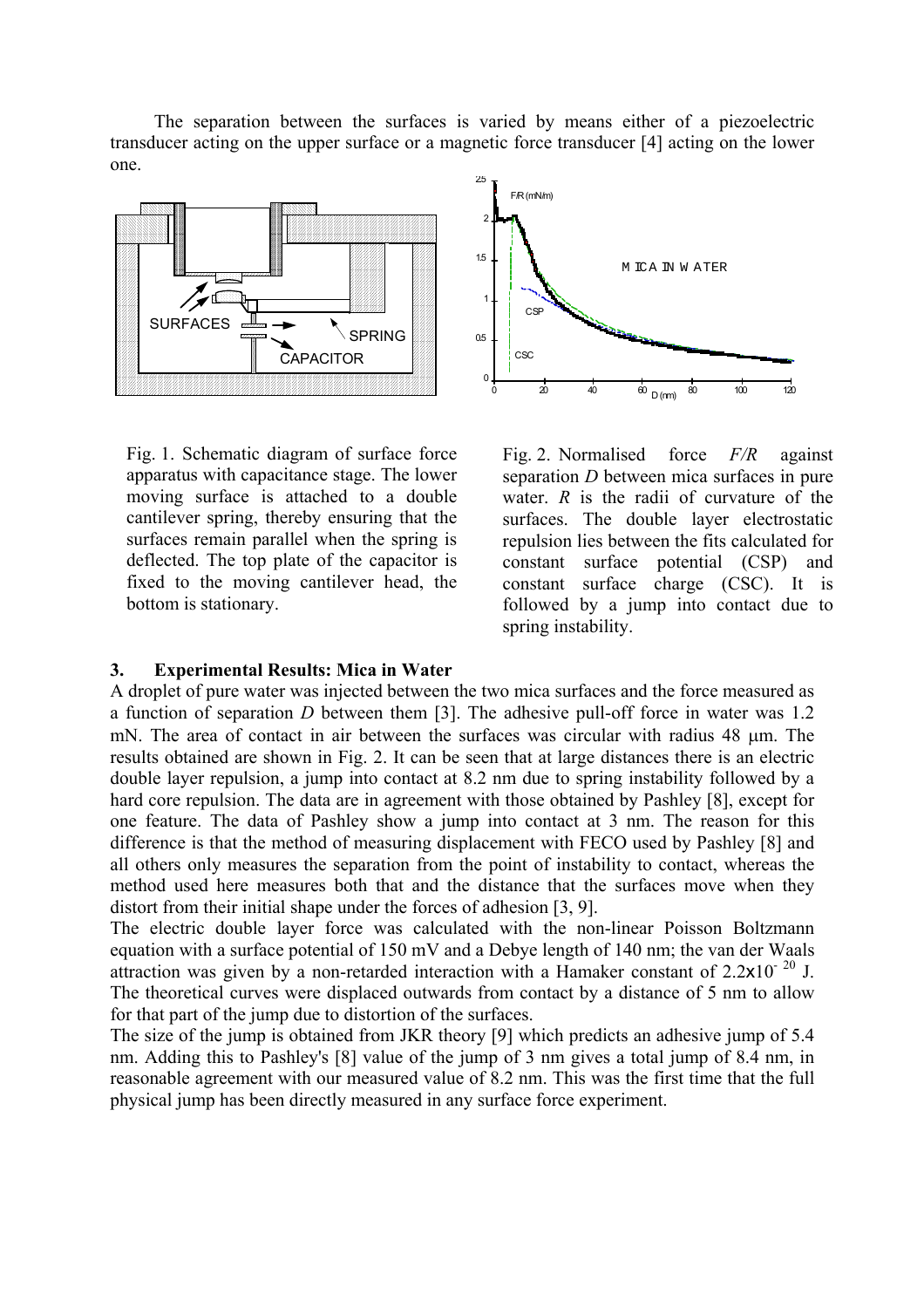The separation between the surfaces is varied by means either of a piezoelectric transducer acting on the upper surface or a magnetic force transducer [4] acting on the lower one.



Fig. 1. Schematic diagram of surface force apparatus with capacitance stage. The lower moving surface is attached to a double cantilever spring, thereby ensuring that the surfaces remain parallel when the spring is deflected. The top plate of the capacitor is fixed to the moving cantilever head, the bottom is stationary.



Fig. 2. Normalised force *F/R* against separation *D* between mica surfaces in pure water. *R* is the radii of curvature of the surfaces. The double layer electrostatic repulsion lies between the fits calculated for constant surface potential (CSP) and constant surface charge (CSC). It is followed by a jump into contact due to spring instability.

### **3. Experimental Results: Mica in Water**

A droplet of pure water was injected between the two mica surfaces and the force measured as a function of separation *D* between them [3]. The adhesive pull-off force in water was 1.2 mN. The area of contact in air between the surfaces was circular with radius 48  $\mu$ m. The results obtained are shown in Fig. 2. It can be seen that at large distances there is an electric double layer repulsion, a jump into contact at 8.2 nm due to spring instability followed by a hard core repulsion. The data are in agreement with those obtained by Pashley [8], except for one feature. The data of Pashley show a jump into contact at 3 nm. The reason for this difference is that the method of measuring displacement with FECO used by Pashley [8] and all others only measures the separation from the point of instability to contact, whereas the method used here measures both that and the distance that the surfaces move when they distort from their initial shape under the forces of adhesion [3, 9].

The electric double layer force was calculated with the non-linear Poisson Boltzmann equation with a surface potential of 150 mV and a Debye length of 140 nm; the van der Waals attraction was given by a non-retarded interaction with a Hamaker constant of  $2.2 \times 10^{-20}$  J. The theoretical curves were displaced outwards from contact by a distance of 5 nm to allow for that part of the jump due to distortion of the surfaces.

The size of the jump is obtained from JKR theory [9] which predicts an adhesive jump of 5.4 nm. Adding this to Pashley's [8] value of the jump of 3 nm gives a total jump of 8.4 nm, in reasonable agreement with our measured value of 8.2 nm. This was the first time that the full physical jump has been directly measured in any surface force experiment.